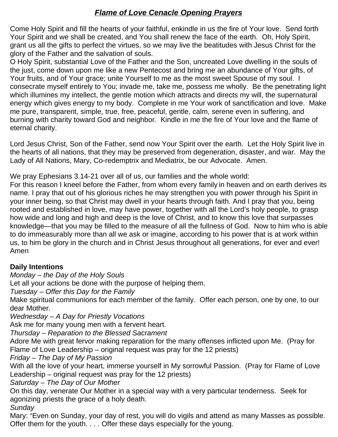# *Flame of Love Cenacle Opening Prayers*

Come Holy Spirit and fill the hearts of your faithful, enkindle in us the fire of Your love. Send forth Your Spirit and we shall be created, and You shall renew the face of the earth. Oh, Holy Spirit, grant us all the gifts to perfect the virtues, so we may live the beatitudes with Jesus Christ for the glory of the Father and the salvation of souls.

O Holy Spirit, substantial Love of the Father and the Son, uncreated Love dwelling in the souls of the just, come down upon me like a new Pentecost and bring me an abundance of Your gifts, of Your fruits, and of Your grace; unite Yourself to me as the most sweet Spouse of my soul. I consecrate myself entirely to You; invade me, take me, possess me wholly. Be the penetrating light which illumines my intellect, the gentle motion which attracts and directs my will, the supernatural energy which gives energy to my body. Complete in me Your work of sanctification and love. Make me pure, transparent, simple, true, free, peaceful, gentle, calm, serene even in suffering, and burning with charity toward God and neighbor. Kindle in me the fire of Your love and the flame of eternal charity.

Lord Jesus Christ, Son of the Father, send now Your Spirit over the earth. Let the Holy Spirit live in the hearts of all nations, that they may be preserved from degeneration, disaster, and war. May the Lady of All Nations, Mary, Co-redemptrix and Mediatrix, be our Advocate. Amen.

We pray Ephesians 3.14-21 over all of us, our families and the whole world:

For this reason I kneel before the Father, from whom every family in heaven and on earth derives its name. I pray that out of his glorious riches he may strengthen you with power through his Spirit in your inner being, so that Christ may dwell in your hearts through faith. And I pray that you, being rooted and established in love, may have power, together with all the Lord's holy people, to grasp how wide and long and high and deep is the love of Christ, and to know this love that surpasses knowledge—that you may be filled to the measure of all the fullness of God. Now to him who is able to do immeasurably more than all we ask or imagine, according to his power that is at work within us, to him be glory in the church and in Christ Jesus throughout all generations, for ever and ever! Amen

# **Daily Intentions**

*Monday – the Day of the Holy Souls*

Let all your actions be done with the purpose of helping them.

*Tuesday – Offer this Day for the Family*

Make spiritual communions for each member of the family. Offer each person, one by one, to our dear Mother.

*Wednesday – A Day for Priestly Vocations*

Ask me for many young men with a fervent heart.

*Thursday – Reparation to the Blessed Sacrament*

Adore Me with great fervor making reparation for the many offenses inflicted upon Me. (Pray for Flame of Love Leadership – original request was pray for the 12 priests)

*Friday – The Day of My Passion*

With all the love of your heart, immerse yourself in My sorrowful Passion. (Pray for Flame of Love Leadership – original request was pray for the 12 priests)

*Saturday – The Day of Our Mother*

On this day, venerate Our Mother in a special way with a very particular tenderness. Seek for agonizing priests the grace of a holy death.

*Sunday*

Mary: "Even on Sunday, your day of rest, you will do vigils and attend as many Masses as possible. Offer them for the youth. . . . Offer these days especially for the young.